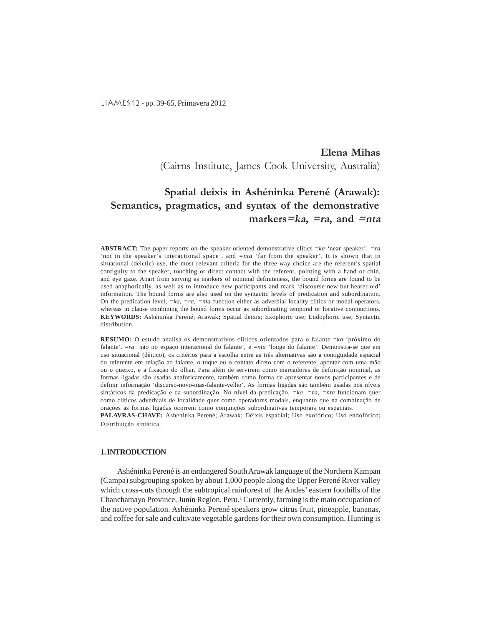LIAMES 12 - pp. 39-65, Primavera 2012

# **Elena Mihas** (Cairns Institute, James Cook University, Australia)

# **Spatial deixis in Ashéninka Perené (Arawak): Semantics, pragmatics, and syntax of the demonstrative markers=ka, =ra, and =nta**

**ABSTRACT:** The paper reports on the speaker-oriented demonstrative clitics =*ka* 'near speaker'*, =ra* 'not in the speaker's interactional space', and *=nta* 'far from the speaker'. It is shown that in situational (deictic) use, the most relevant criteria for the three-way choice are the referent's spatial contiguity to the speaker, touching or direct contact with the referent, pointing with a hand or chin, and eye gaze. Apart from serving as markers of nominal definiteness, the bound forms are found to be used anaphorically, as well as to introduce new participants and mark 'discourse-new-but-hearer-old' information. The bound forms are also used on the syntactic levels of predication and subordination. On the predication level, *=ka, =ra, =nta* function either as adverbial locality clitics or modal operators, whereas in clause combining the bound forms occur as subordinating temporal or locative conjunctions. **KEYWORDS:** Ashéninka Perené; Arawak**;** Spatial deixis; Exophoric use; Endophoric use; Syntactic distribution.

**RESUMO:** O estudo analisa os demonstrativos clíticos orientados para o falante = *ka* 'próximo do falante'. =*ra* 'não no espaço interacional do falante', e =*nta* 'longe do falante'. Demonstra-se que em uso situacional (dêitico), os critérios para a escolha entre as três alternativas são a contiguidade espacial do referente em relação ao falante, o toque ou o contato direto com o referente, apontar com uma mão ou o queixo, e a fixação do olhar. Para além de servirem como marcadores de definição nominal, as formas ligadas são usadas anaforicamente, também como forma de apresentar novos participantes e de definir informação 'discurso-novo-mas-falante-velho'. As formas ligadas são também usadas nos níveis sintáticos da predicação e da subordinação. No nível da predicação, *=ka, =ra, =nta* funcionam quer como clíticos adverbiais de localidade quer como operadores modais, enquanto que na combinação de orações as formas ligadas ocorrem como conjunções subordinativas temporais ou espaciais.

**PALAVRAS-CHAVE:** Ashéninka Perené; Arawak; Dêixis espacial; Uso exofórico; Uso endofórico; Distribuição sintática.

# **1. INTRODUCTION**

Ashéninka Perené is an endangered South Arawak language of the Northern Kampan (Campa) subgrouping spoken by about 1,000 people along the Upper Perené River valley which cross-cuts through the subtropical rainforest of the Andes' eastern foothills of the Chanchamayo Province, Junín Region, Peru.<sup>1</sup> Currently, farming is the main occupation of the native population. Ashéninka Perené speakers grow citrus fruit, pineapple, bananas, and coffee for sale and cultivate vegetable gardens for their own consumption. Hunting is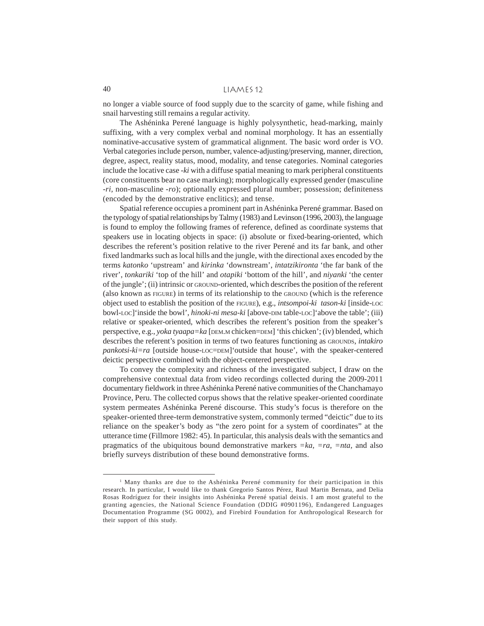no longer a viable source of food supply due to the scarcity of game, while fishing and snail harvesting still remains a regular activity.

The Ashéninka Perené language is highly polysynthetic, head-marking, mainly suffixing, with a very complex verbal and nominal morphology. It has an essentially nominative-accusative system of grammatical alignment. The basic word order is VO. Verbal categories include person, number, valence-adjusting/preserving, manner, direction, degree, aspect, reality status, mood, modality, and tense categories. Nominal categories include the locative case -*ki* with a diffuse spatial meaning to mark peripheral constituents (core constituents bear no case marking); morphologically expressed gender (masculine -*ri,* non-masculine *-ro*); optionally expressed plural number; possession; definiteness (encoded by the demonstrative enclitics); and tense.

Spatial reference occupies a prominent part in Ashéninka Perené grammar. Based on the typology of spatial relationships by Talmy (1983) and Levinson (1996, 2003), the language is found to employ the following frames of reference, defined as coordinate systems that speakers use in locating objects in space: (i) absolute or fixed-bearing-oriented, which describes the referent's position relative to the river Perené and its far bank, and other fixed landmarks such as local hills and the jungle, with the directional axes encoded by the terms *katonko* 'upstream' and *kirinka* 'downstream', *intatzikironta* 'the far bank of the river', *tonkariki* 'top of the hill' and *otapiki* 'bottom of the hill', and *niyanki* 'the center of the jungle'; (ii) intrinsic or GROUND-oriented, which describes the position of the referent (also known as FIGURE) in terms of its relationship to the GROUND (which is the reference object used to establish the position of the FIGURE), e.g., *intsompoi*-*ki tason-ki* [inside-LOC bowl-LOC]'inside the bowl', *hinoki-ni mesa-ki* [above-DIM table-LOC]'above the table'; (iii) relative or speaker-oriented, which describes the referent's position from the speaker's perspective, e.g., *yoka tyaapa=ka* [DEM.M chicken=DEM] 'this chicken'; (iv) blended, which describes the referent's position in terms of two features functioning as GROUNDS, *intakiro pankotsi-ki=ra* [outside house-LOC=DEM]'outside that house', with the speaker-centered deictic perspective combined with the object-centered perspective.

To convey the complexity and richness of the investigated subject, I draw on the comprehensive contextual data from video recordings collected during the 2009-2011 documentary fieldwork in three Ashéninka Perené native communities of the Chanchamayo Province, Peru. The collected corpus shows that the relative speaker-oriented coordinate system permeates Ashéninka Perené discourse. This study's focus is therefore on the speaker-oriented three-term demonstrative system, commonly termed "deictic" due to its reliance on the speaker's body as "the zero point for a system of coordinates" at the utterance time (Fillmore 1982: 45). In particular, this analysis deals with the semantics and pragmatics of the ubiquitous bound demonstrative markers *=ka, =ra, =nta,* and also briefly surveys distribution of these bound demonstrative forms.

<sup>&</sup>lt;sup>1</sup> Many thanks are due to the Ashéninka Perené community for their participation in this research. In particular, I would like to thank Gregorio Santos Pérez, Raul Martin Bernata, and Delia Rosas Rodríguez for their insights into Ashéninka Perené spatial deixis. I am most grateful to the granting agencies, the National Science Foundation (DDIG #0901196), Endangered Languages Documentation Programme (SG 0002), and Firebird Foundation for Anthropological Research for their support of this study.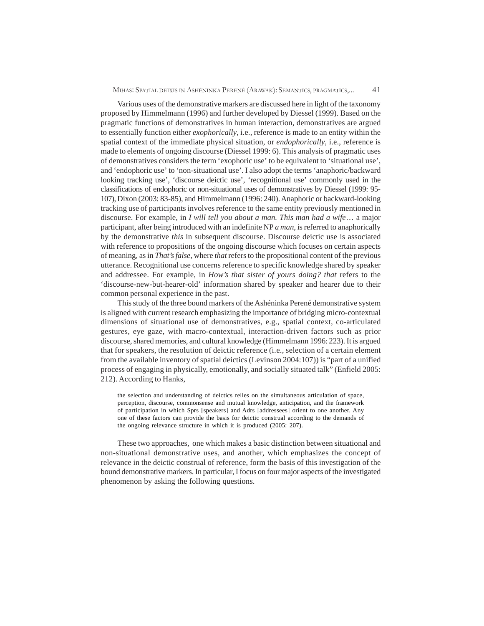Various uses of the demonstrative markers are discussed here in light of the taxonomy proposed by Himmelmann (1996) and further developed by Diessel (1999). Based on the pragmatic functions of demonstratives in human interaction, demonstratives are argued to essentially function either *exophorically*, i.e., reference is made to an entity within the spatial context of the immediate physical situation, or *endophorically*, i.e., reference is made to elements of ongoing discourse (Diessel 1999: 6). This analysis of pragmatic uses of demonstratives considers the term 'exophoric use' to be equivalent to 'situational use', and 'endophoric use' to 'non-situational use'. I also adopt the terms 'anaphoric/backward looking tracking use', 'discourse deictic use', 'recognitional use' commonly used in the classifications of endophoric or non-situational uses of demonstratives by Diessel (1999: 95- 107), Dixon (2003: 83-85), and Himmelmann (1996: 240). Anaphoric or backward-looking tracking use of participants involves reference to the same entity previously mentioned in discourse. For example, in *I will tell you about a man. This man had a wife*… a major participant, after being introduced with an indefinite NP *a man*, is referred to anaphorically by the demonstrative *this* in subsequent discourse. Discourse deictic use is associated with reference to propositions of the ongoing discourse which focuses on certain aspects of meaning, as in *That's false*, where *that* refers to the propositional content of the previous utterance. Recognitional use concerns reference to specific knowledge shared by speaker and addressee. For example, in *How's that sister of yours doing? that* refers to the 'discourse-new-but-hearer-old' information shared by speaker and hearer due to their common personal experience in the past.

This study of the three bound markers of the Ashéninka Perené demonstrative system is aligned with current research emphasizing the importance of bridging micro-contextual dimensions of situational use of demonstratives, e.g., spatial context, co-articulated gestures, eye gaze, with macro-contextual, interaction-driven factors such as prior discourse, shared memories, and cultural knowledge (Himmelmann 1996: 223). It is argued that for speakers, the resolution of deictic reference (i.e., selection of a certain element from the available inventory of spatial deictics (Levinson 2004:107)) is "part of a unified process of engaging in physically, emotionally, and socially situated talk" (Enfield 2005: 212). According to Hanks,

the selection and understanding of deictics relies on the simultaneous articulation of space, perception, discourse, commonsense and mutual knowledge, anticipation, and the framework of participation in which Sprs [speakers] and Adrs [addressees] orient to one another. Any one of these factors can provide the basis for deictic construal according to the demands of the ongoing relevance structure in which it is produced (2005: 207).

These two approaches, one which makes a basic distinction between situational and non-situational demonstrative uses, and another, which emphasizes the concept of relevance in the deictic construal of reference, form the basis of this investigation of the bound demonstrative markers. In particular, I focus on four major aspects of the investigated phenomenon by asking the following questions.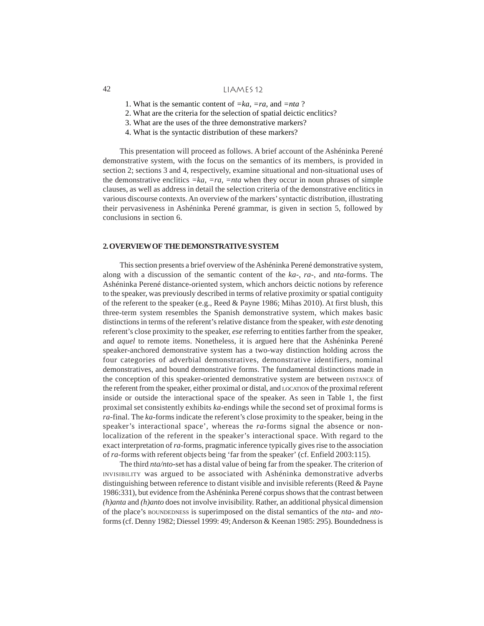- 1. What is the semantic content of *=ka, =ra,* and *=nta* ?
- 2. What are the criteria for the selection of spatial deictic enclitics?
- 3. What are the uses of the three demonstrative markers?
- 4. What is the syntactic distribution of these markers?

This presentation will proceed as follows. A brief account of the Ashéninka Perené demonstrative system, with the focus on the semantics of its members, is provided in section 2; sections 3 and 4, respectively, examine situational and non-situational uses of the demonstrative enclitics  $=ka$ ,  $=ra$ ,  $=nta$  when they occur in noun phrases of simple clauses, as well as address in detail the selection criteria of the demonstrative enclitics in various discourse contexts. An overview of the markers' syntactic distribution, illustrating their pervasiveness in Ashéninka Perené grammar, is given in section 5, followed by conclusions in section 6.

## **2. OVERVIEW OF THE DEMONSTRATIVE SYSTEM**

This section presents a brief overview of the Ashéninka Perené demonstrative system, along with a discussion of the semantic content of the *ka*-, *ra*-, and *nta*-forms. The Ashéninka Perené distance-oriented system, which anchors deictic notions by reference to the speaker, was previously described in terms of relative proximity or spatial contiguity of the referent to the speaker (e.g., Reed & Payne 1986; Mihas 2010). At first blush, this three-term system resembles the Spanish demonstrative system, which makes basic distinctions in terms of the referent's relative distance from the speaker, with *este* denoting referent's close proximity to the speaker, *ese* referring to entities farther from the speaker, and *aquel* to remote items. Nonetheless, it is argued here that the Ashéninka Perené speaker-anchored demonstrative system has a two-way distinction holding across the four categories of adverbial demonstratives, demonstrative identifiers, nominal demonstratives, and bound demonstrative forms. The fundamental distinctions made in the conception of this speaker-oriented demonstrative system are between DISTANCE of the referent from the speaker, either proximal or distal, and LOCATION of the proximal referent inside or outside the interactional space of the speaker. As seen in Table 1, the first proximal set consistently exhibits *ka*-endings while the second set of proximal forms is *ra*-final. The *ka*-forms indicate the referent's close proximity to the speaker, being in the speaker's interactional space', whereas the *ra*-forms signal the absence or nonlocalization of the referent in the speaker's interactional space. With regard to the exact interpretation of *ra*-forms, pragmatic inference typically gives rise to the association of *ra*-forms with referent objects being 'far from the speaker' (cf. Enfield 2003:115).

The third *nta/nto*-set has a distal value of being far from the speaker. The criterion of INVISIBILITY was argued to be associated with Ashéninka demonstrative adverbs distinguishing between reference to distant visible and invisible referents (Reed & Payne 1986:331), but evidence from the Ashéninka Perené corpus shows that the contrast between *(h)anta* and *(h)anto* does not involve invisibility. Rather, an additional physical dimension of the place's BOUNDEDNESS is superimposed on the distal semantics of the *nta-* and *nto*forms (cf. Denny 1982; Diessel 1999: 49; Anderson & Keenan 1985: 295). Boundedness is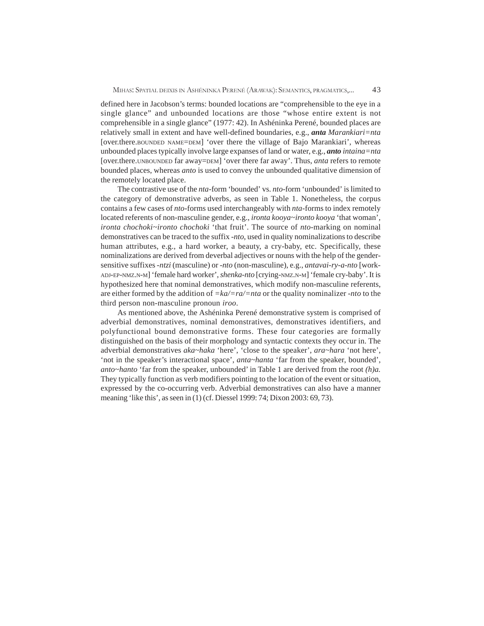defined here in Jacobson's terms: bounded locations are "comprehensible to the eye in a single glance" and unbounded locations are those "whose entire extent is not comprehensible in a single glance" (1977: 42). In Ashéninka Perené, bounded places are relatively small in extent and have well-defined boundaries, e.g., *anta Marankiari=nta* [over.there.BOUNDED NAME=DEM] 'over there the village of Bajo Marankiari', whereas unbounded places typically involve large expanses of land or water, e.g., *anto intaina=nta* [over.there.UNBOUNDED far away=DEM] 'over there far away'. Thus, *anta* refers to remote bounded places, whereas *anto* is used to convey the unbounded qualitative dimension of the remotely located place.

The contrastive use of the *nta-*form 'bounded' vs. *nto-*form 'unbounded' is limited to the category of demonstrative adverbs, as seen in Table 1. Nonetheless, the corpus contains a few cases of *nto*-forms used interchangeably with *nta*-forms to index remotely located referents of non-masculine gender, e.g., *ironta kooya~ironto kooya* 'that woman'*, ironta chochoki~ironto chochoki* 'that fruit'. The source of *nto-*marking on nominal demonstratives can be traced to the suffix *-nto*, used in quality nominalizations to describe human attributes, e.g., a hard worker, a beauty, a cry-baby, etc. Specifically, these nominalizations are derived from deverbal adjectives or nouns with the help of the gendersensitive suffixes -*ntzi* (masculine) or -*nto* (non-masculine), e.g., *antavai-ry-a-nto* [work-ADJ-EP-NMZ.N-M] 'female hard worker', *shenka-nto* [crying-NMZ.N-M] 'female cry-baby'. It is hypothesized here that nominal demonstratives, which modify non-masculine referents, are either formed by the addition of *=ka/=ra/=nta* or the quality nominalizer *-nto* to the third person non-masculine pronoun *iroo*.

As mentioned above, the Ashéninka Perené demonstrative system is comprised of adverbial demonstratives, nominal demonstratives, demonstratives identifiers, and polyfunctional bound demonstrative forms. These four categories are formally distinguished on the basis of their morphology and syntactic contexts they occur in. The adverbial demonstratives *aka~haka* 'here', 'close to the speaker', *ara~hara* 'not here', 'not in the speaker's interactional space', *anta~hanta* 'far from the speaker, bounded', *anto~hanto* 'far from the speaker, unbounded' in Table 1 are derived from the root *(h)a.* They typically function as verb modifiers pointing to the location of the event or situation, expressed by the co-occurring verb. Adverbial demonstratives can also have a manner meaning 'like this', as seen in (1) (cf. Diessel 1999: 74; Dixon 2003: 69, 73).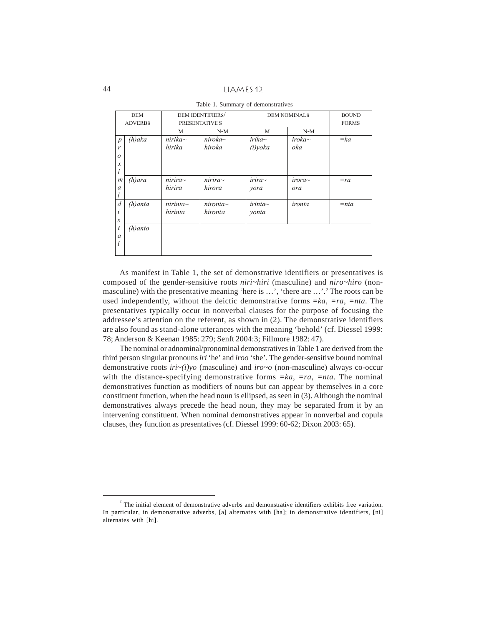44 LIAMES 12

| DEM              |                | DEM IDENTIFIERS/ |                |              | <b>DEM NOMINALS</b> |              |
|------------------|----------------|------------------|----------------|--------------|---------------------|--------------|
|                  | <b>ADVERBS</b> |                  | PRESENTATIVE S |              |                     | <b>FORMS</b> |
|                  |                | M                | $N-M$          | M            | $N-M$               |              |
| $\boldsymbol{p}$ | $(h)$ aka      | $nirika\sim$     | niroka~        | $irika\sim$  | $i$ roka $\sim$     | $=k$ a       |
| r                |                | hirika           | hiroka         | (i) yoka     | oka                 |              |
| $\boldsymbol{o}$ |                |                  |                |              |                     |              |
| $\mathcal{X}$    |                |                  |                |              |                     |              |
| i                |                |                  |                |              |                     |              |
| $\boldsymbol{m}$ | $(h)$ ara      | nirira~          | nirira~        | irira~       | irora~              | $=rq$        |
| $\mathfrak a$    |                | hirira           | hirora         | yora         | ora                 |              |
|                  |                |                  |                |              |                     |              |
| $\overline{d}$   | $(h)$ anta     | $nirinta\sim$    | nironta~       | $irinta\sim$ | ironta              | $=$ nta      |
| i                |                | hirinta          | hironta        | yonta        |                     |              |
| $\boldsymbol{S}$ |                |                  |                |              |                     |              |
| $\boldsymbol{t}$ | $(h)$ anto     |                  |                |              |                     |              |
| $\boldsymbol{a}$ |                |                  |                |              |                     |              |
| l                |                |                  |                |              |                     |              |
|                  |                |                  |                |              |                     |              |

Table 1. Summary of demonstratives

As manifest in Table 1, the set of demonstrative identifiers or presentatives is composed of the gender-sensitive roots *niri~hiri* (masculine) and *niro~hiro* (nonmasculine) with the presentative meaning 'here is ...', 'there are ...'.<sup>2</sup> The roots can be used independently, without the deictic demonstrative forms =*ka, =ra, =nta*. The presentatives typically occur in nonverbal clauses for the purpose of focusing the addressee's attention on the referent, as shown in (2). The demonstrative identifiers are also found as stand-alone utterances with the meaning 'behold' (cf. Diessel 1999: 78; Anderson & Keenan 1985: 279; Senft 2004:3; Fillmore 1982: 47).

The nominal or adnominal/pronominal demonstratives in Table 1 are derived from the third person singular pronouns *iri* 'he' and *iroo* 'she'. The gender-sensitive bound nominal demonstrative roots *iri~(i)yo* (masculine) and *iro~o* (non-masculine) always co-occur with the distance-specifying demonstrative forms *=ka, =ra, =nta.* The nominal demonstratives function as modifiers of nouns but can appear by themselves in a core constituent function, when the head noun is ellipsed, as seen in (3). Although the nominal demonstratives always precede the head noun, they may be separated from it by an intervening constituent. When nominal demonstratives appear in nonverbal and copula clauses, they function as presentatives (cf. Diessel 1999: 60-62; Dixon 2003: 65).

 $2^{2}$  The initial element of demonstrative adverbs and demonstrative identifiers exhibits free variation. In particular, in demonstrative adverbs, [a] alternates with [ha]; in demonstrative identifiers, [ni] alternates with [hi].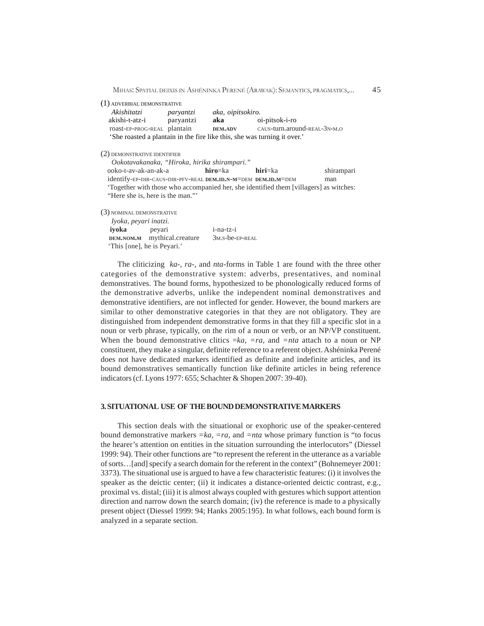MIHAS: SPATIAL DEIXIS IN ASHÉNINKA PERENÉ (ARAWAK): SEMANTICS, PRAGMATICS,... 45

| (1) ADVERBIAL DEMONSTRATIVE |
|-----------------------------|
|-----------------------------|

| Akishitatzi                                                              | parvantzi | aka, oipitsokiro. |                              |
|--------------------------------------------------------------------------|-----------|-------------------|------------------------------|
| akishi-t-atz-i                                                           | paryantzi | aka               | oi-pitsok-i-ro               |
| roast-EP-PROG-REAL plantain                                              |           | <b>DEM.ADV</b>    | CAUS-turn.around-REAL-3N-M.O |
| 'She roasted a plantain in the fire like this, she was turning it over.' |           |                   |                              |

(2) DEMONSTRATIVE IDENTIFIER

| Ookotavakanaka, "Hiroka, hirika shirampari."                                          |         |         |            |
|---------------------------------------------------------------------------------------|---------|---------|------------|
| ooko-t-av-ak-an-ak-a                                                                  | hiro=ka | hiri=ka | shirampari |
| identify-EP-DIR-CAUS-DIR-PFV-REAL DEM.ID.N-M=DEM DEM.ID.M=DEM                         |         |         | man        |
| 'Together with those who accompanied her, she identified them [villagers] as witches: |         |         |            |
| "Here she is, here is the man."                                                       |         |         |            |

(3) NOMINAL DEMONSTRATIVE

| Iyoka, peyari inatzi. |                             |                           |
|-----------------------|-----------------------------|---------------------------|
| ivoka                 | peyari                      | $i$ -na-tz- $i$           |
|                       | DEM.NOM.M mythical.creature | $3M.S$ -be- $EP$ - $REAL$ |
|                       | 'This [one], he is Peyari.' |                           |

The cliticizing *ka-, ra-,* and *nta-*forms in Table 1 are found with the three other categories of the demonstrative system: adverbs, presentatives, and nominal demonstratives. The bound forms, hypothesized to be phonologically reduced forms of the demonstrative adverbs, unlike the independent nominal demonstratives and demonstrative identifiers, are not inflected for gender. However, the bound markers are similar to other demonstrative categories in that they are not obligatory. They are distinguished from independent demonstrative forms in that they fill a specific slot in a noun or verb phrase, typically, on the rim of a noun or verb, or an NP/VP constituent. When the bound demonstrative clitics  $=ka$ ,  $=ra$ , and  $=nta$  attach to a noun or NP constituent, they make a singular, definite reference to a referent object. Ashéninka Perené does not have dedicated markers identified as definite and indefinite articles, and its bound demonstratives semantically function like definite articles in being reference indicators (cf. Lyons 1977: 655; Schachter & Shopen 2007: 39-40).

#### **3. SITUATIONAL USE OF THE BOUND DEMONSTRATIVE MARKERS**

This section deals with the situational or exophoric use of the speaker-centered bound demonstrative markers *=ka, =ra*, and *=nta* whose primary function is "to focus the hearer's attention on entities in the situation surrounding the interlocutors" (Diessel 1999: 94). Their other functions are "to represent the referent in the utterance as a variable of sorts…[and] specify a search domain for the referent in the context" (Bohnemeyer 2001: 3373). The situational use is argued to have a few characteristic features: (i) it involves the speaker as the deictic center; (ii) it indicates a distance-oriented deictic contrast, e.g., proximal vs. distal; (iii) it is almost always coupled with gestures which support attention direction and narrow down the search domain; (iv) the reference is made to a physically present object (Diessel 1999: 94; Hanks 2005:195). In what follows, each bound form is analyzed in a separate section.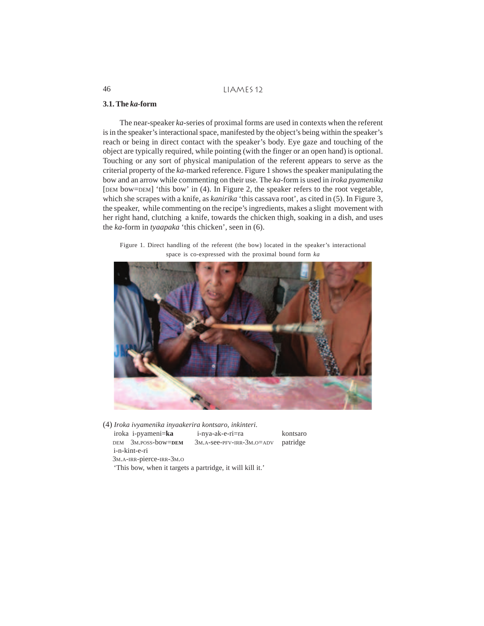## **3.1. The** *ka-***form**

The near-speaker *ka*-series of proximal forms are used in contexts when the referent is in the speaker's interactional space, manifested by the object's being within the speaker's reach or being in direct contact with the speaker's body. Eye gaze and touching of the object are typically required, while pointing (with the finger or an open hand) is optional. Touching or any sort of physical manipulation of the referent appears to serve as the criterial property of the *ka-*marked reference. Figure 1 shows the speaker manipulating the bow and an arrow while commenting on their use. The *ka*-form is used in *iroka pyamenika* [DEM bow=DEM] 'this bow' in (4). In Figure 2, the speaker refers to the root vegetable, which she scrapes with a knife, as *kanirika* 'this cassava root', as cited in (5). In Figure 3, the speaker, while commenting on the recipe's ingredients, makes a slight movement with her right hand, clutching a knife, towards the chicken thigh, soaking in a dish, and uses the *ka*-form in *tyaapaka* 'this chicken', seen in (6).

Figure 1. Direct handling of the referent (the bow) located in the speaker's interactional space is co-expressed with the proximal bound form *ka*



(4) *Iroka ivyamenika inyaakerira kontsaro, inkinteri.* iroka i-pyameni=**ka** i-nya-ak-e-ri=ra kontsaro DEM 3M.POSS-bow=**DEM** 3M.A-see-PFV-IRR-3M.O=ADV patridge i-n-kint-e-ri 3M.A-IRR-pierce-IRR-3M.<sup>O</sup> 'This bow, when it targets a partridge, it will kill it.'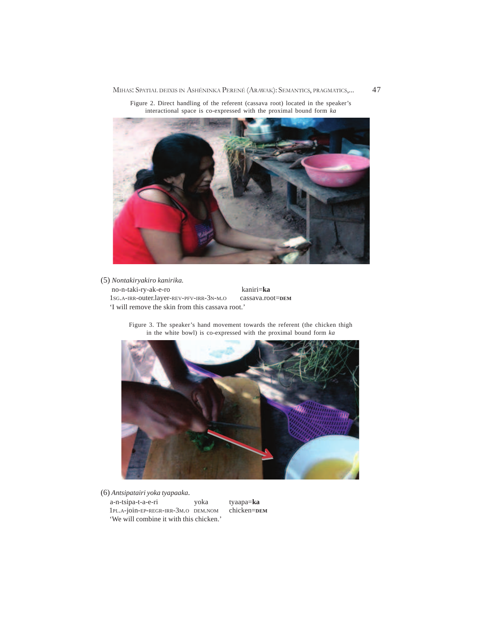MIHAS: SPATIAL DEIXIS IN ASHÉNINKA PERENÉ (ARAWAK): SEMANTICS, PRAGMATICS,... 47



Figure 2. Direct handling of the referent (cassava root) located in the speaker's interactional space is co-expressed with the proximal bound form *ka*

# (5) *Nontakiryakiro kanirika.* no-n-taki-ry-ak-e-ro kaniri=**ka** 1SG.A-IRR-outer.layer-REV-PFV-IRR-3N-M.O cassava.root=**DEM** 'I will remove the skin from this cassava root.'

Figure 3. The speaker's hand movement towards the referent (the chicken thigh in the white bowl) is co-expressed with the proximal bound form *ka*



(6) *Antsipatairi yoka tyapaaka.*

a-n-tsipa-t-a-e-ri yoka tyaapa=**ka** 1PL.A-join-EP-REGR-IRR-3M.O DEM.NOM 'We will combine it with this chicken.'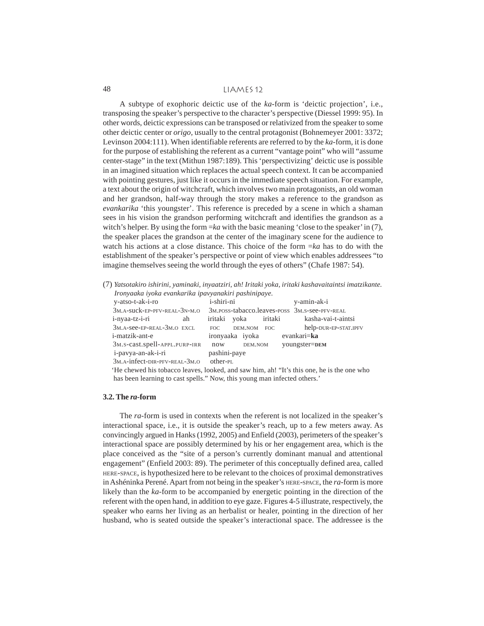A subtype of exophoric deictic use of the *ka*-form is 'deictic projection', i.e., transposing the speaker's perspective to the character's perspective (Diessel 1999: 95). In other words, deictic expressions can be transposed or relativized from the speaker to some other deictic center or *origo,* usually to the central protagonist (Bohnemeyer 2001: 3372; Levinson 2004:111). When identifiable referents are referred to by the *ka*-form, it is done for the purpose of establishing the referent as a current "vantage point" who will "assume center-stage" in the text (Mithun 1987:189). This 'perspectivizing' deictic use is possible in an imagined situation which replaces the actual speech context. It can be accompanied with pointing gestures, just like it occurs in the immediate speech situation. For example, a text about the origin of witchcraft, which involves two main protagonists, an old woman and her grandson, half-way through the story makes a reference to the grandson as *evankarika* 'this youngster'. This reference is preceded by a scene in which a shaman sees in his vision the grandson performing witchcraft and identifies the grandson as a witch's helper. By using the form =*ka* with the basic meaning 'close to the speaker' in (7), the speaker places the grandson at the center of the imaginary scene for the audience to watch his actions at a close distance. This choice of the form =*ka* has to do with the establishment of the speaker's perspective or point of view which enables addressees "to imagine themselves seeing the world through the eyes of others" (Chafe 1987: 54).

(7) *Yatsotakiro ishirini, yaminaki, inyaatziri, ah! Iritaki yoka, iritaki kashavaitaintsi imatzikante. Ironyaaka iyoka evankarika ipavyanakiri pashinipaye.*

| попушка туока етанканка тратуанакти разнитрауе.                                          |                 |         |         |                                               |
|------------------------------------------------------------------------------------------|-----------------|---------|---------|-----------------------------------------------|
| y-atso-t-ak-i-ro                                                                         | i-shiri-ni      |         |         | y-amin-ak-i                                   |
| 3M.A-SUCK-EP-PFV-REAL-3N-M.O                                                             |                 |         |         | 3M.POSS-tabacco.leaves-poss 3M.S-see-PFV-REAL |
| i-nyaa-tz-i-ri<br>ah                                                                     | iritaki yoka    |         | iritaki | kasha-vai-t-aintsi                            |
| 3M.A-See-EP-REAL-3M.O EXCL                                                               | FOC.            | DEM.NOM | FOC     | help-DUR-EP-STAT.IPFV                         |
| <i>i</i> -matzik-ant-e                                                                   | ironyaaka iyoka |         |         | evankari= <b>ka</b>                           |
| 3M.s-cast.spell-APPL.PURP-IRR                                                            | now             | DEM.NOM |         | youngster=DEM                                 |
| i-pavya-an-ak-i-ri                                                                       | pashini-paye    |         |         |                                               |
| 3M.A-infect-DIR-PFV-REAL-3M.O                                                            | other-PL        |         |         |                                               |
| He chewed his tobacco leaves, looked, and saw him, ah! "It's this one, he is the one who |                 |         |         |                                               |
| has been learning to cast spells." Now, this young man infected others."                 |                 |         |         |                                               |

#### **3.2. The** *ra***-form**

The *ra-*form is used in contexts when the referent is not localized in the speaker's interactional space, i.e., it is outside the speaker's reach, up to a few meters away. As convincingly argued in Hanks (1992, 2005) and Enfield (2003), perimeters of the speaker's interactional space are possibly determined by his or her engagement area, which is the place conceived as the "site of a person's currently dominant manual and attentional engagement" (Enfield 2003: 89). The perimeter of this conceptually defined area, called HERE-SPACE, is hypothesized here to be relevant to the choices of proximal demonstratives in Ashéninka Perené. Apart from not being in the speaker's HERE-SPACE, the *ra*-form is more likely than the *ka*-form to be accompanied by energetic pointing in the direction of the referent with the open hand, in addition to eye gaze. Figures 4-5 illustrate, respectively, the speaker who earns her living as an herbalist or healer, pointing in the direction of her husband, who is seated outside the speaker's interactional space. The addressee is the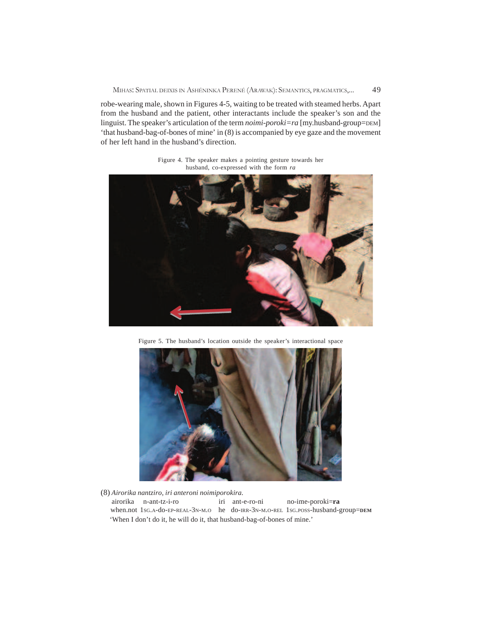robe-wearing male, shown in Figures 4-5, waiting to be treated with steamed herbs. Apart from the husband and the patient, other interactants include the speaker's son and the linguist. The speaker's articulation of the term *noimi-poroki=ra* [my.husband-group=DEM] 'that husband-bag-of-bones of mine' in (8) is accompanied by eye gaze and the movement of her left hand in the husband's direction.



Figure 4. The speaker makes a pointing gesture towards her husband, co-expressed with the form *ra*

Figure 5. The husband's location outside the speaker's interactional space



(8) *Airorika nantziro, iri anteroni noimiporokira.*

 airorika n-ant-tz-i-ro iri ant-e-ro-ni no-ime-poroki=**ra** when.not 1SG.A-do-EP-REAL-3N-M.O he do-IRR-3N-M.O-REL 1SG.POSS-husband-group=**DEM** 'When I don't do it, he will do it, that husband-bag-of-bones of mine.'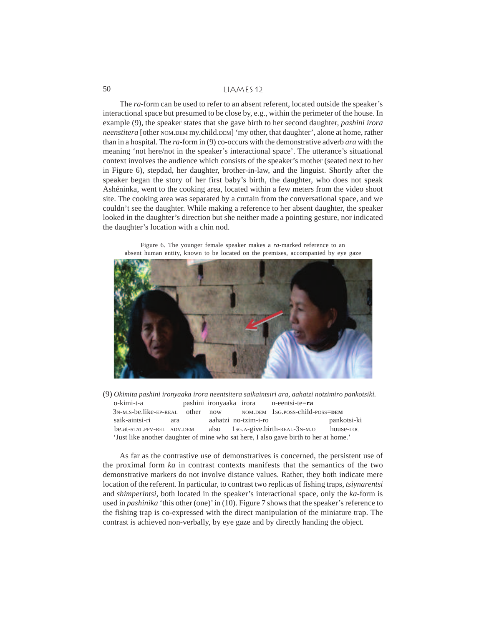The *ra*-form can be used to refer to an absent referent, located outside the speaker's interactional space but presumed to be close by, e.g., within the perimeter of the house. In example (9), the speaker states that she gave birth to her second daughter, *pashini irora neenstitera* [other NOM.DEM my.child.DEM] 'my other, that daughter', alone at home, rather than in a hospital. The *ra*-form in (9) co-occurs with the demonstrative adverb *ara* with the meaning 'not here/not in the speaker's interactional space'. The utterance's situational context involves the audience which consists of the speaker's mother (seated next to her in Figure 6), stepdad, her daughter, brother-in-law, and the linguist. Shortly after the speaker began the story of her first baby's birth, the daughter, who does not speak Ashéninka, went to the cooking area, located within a few meters from the video shoot site. The cooking area was separated by a curtain from the conversational space, and we couldn't see the daughter. While making a reference to her absent daughter, the speaker looked in the daughter's direction but she neither made a pointing gesture, nor indicated the daughter's location with a chin nod.



Figure 6. The younger female speaker makes a *ra*-marked reference to an absent human entity, known to be located on the premises, accompanied by eye gaze

(9) *Okimita pashini ironyaaka irora neentsitera saikaintsiri ara, aahatzi notzimiro pankotsiki.* o-kimi-t-a pashini ironyaaka irora n-eentsi-te=**ra** 3N-M.S-be.like-EP-REAL other now NOM.DEM 1SG.POSS-child-POSS=**DEM** saik**-**aintsi-ri ara aahatzi no-tzim-i-ro pankotsi-ki be.at-STAT.PFV-REL ADV.DEM also 1SG.A-give.birth-REAL-3N-M.O house-LOC 'Just like another daughter of mine who sat here, I also gave birth to her at home.'

As far as the contrastive use of demonstratives is concerned, the persistent use of the proximal form *ka* in contrast contexts manifests that the semantics of the two demonstrative markers do not involve distance values. Rather, they both indicate mere location of the referent. In particular, to contrast two replicas of fishing traps, *tsiynarentsi* and *shimperintsi*, both located in the speaker's interactional space, only the *ka*-form is used in *pashinika* 'this other (one)' in (10). Figure 7 shows that the speaker's reference to the fishing trap is co-expressed with the direct manipulation of the miniature trap. The contrast is achieved non-verbally, by eye gaze and by directly handing the object.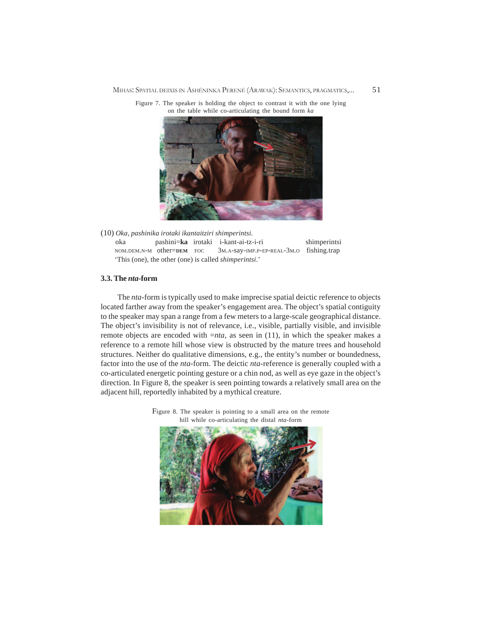MIHAS: SPATIAL DEIXIS IN ASHÉNINKA PERENÉ (ARAWAK): SEMANTICS, PRAGMATICS,... 51





(10) *Oka, pashinika irotaki ikantaitziri shimperintsi.* oka pashini=**ka** irotaki i-kant-ai-tz-i-ri shimperintsi NOM.DEM.N-M other=**DEM** FOC 3M.A-say-IMP.P-EP-REAL-3M.O fishing.trap 'This (one), the other (one) is called *shimperintsi*.'

# **3.3. The** *nta***-form**

The *nta*-form is typically used to make imprecise spatial deictic reference to objects located farther away from the speaker's engagement area. The object's spatial contiguity to the speaker may span a range from a few meters to a large-scale geographical distance. The object's invisibility is not of relevance, i.e., visible, partially visible, and invisible remote objects are encoded with =*nta*, as seen in (11), in which the speaker makes a reference to a remote hill whose view is obstructed by the mature trees and household structures. Neither do qualitative dimensions, e.g., the entity's number or boundedness, factor into the use of the *nta-*form. The deictic *nta-*reference is generally coupled with a co-articulated energetic pointing gesture or a chin nod, as well as eye gaze in the object's direction. In Figure 8, the speaker is seen pointing towards a relatively small area on the adjacent hill, reportedly inhabited by a mythical creature.



Figure 8. The speaker is pointing to a small area on the remote hill while co-articulating the distal *nta*-form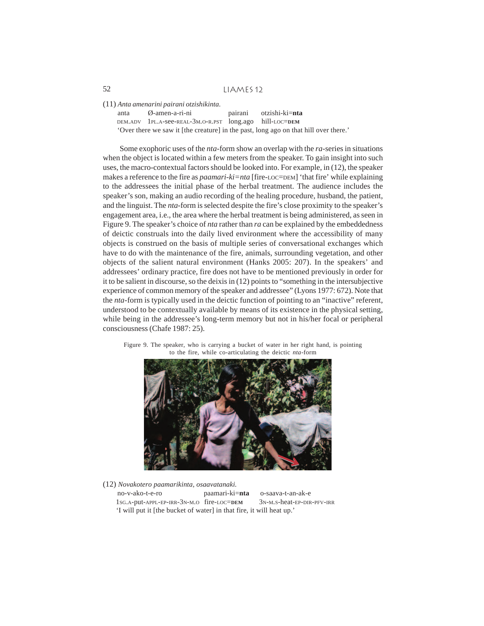(11) *Anta amenarini pairani otzishikinta.*

anta Ø-amen-a-ri-ni pairani otzishi-ki=**nta** DEM.ADV 1PL.A-see-REAL-3M.O-R.PST long.ago hill-LOC=**DEM** 'Over there we saw it [the creature] in the past, long ago on that hill over there.'

Some exophoric uses of the *nta*-form show an overlap with the *ra-*series in situations when the object is located within a few meters from the speaker. To gain insight into such uses, the macro-contextual factors should be looked into. For example, in (12), the speaker makes a reference to the fire as *paamari-ki=nta* [fire-LOC=DEM] 'that fire' while explaining to the addressees the initial phase of the herbal treatment. The audience includes the speaker's son, making an audio recording of the healing procedure, husband, the patient, and the linguist. The *nta*-form is selected despite the fire's close proximity to the speaker's engagement area, i.e., the area where the herbal treatment is being administered, as seen in Figure 9. The speaker's choice of *nta* rather than *ra* can be explained by the embeddedness of deictic construals into the daily lived environment where the accessibility of many objects is construed on the basis of multiple series of conversational exchanges which have to do with the maintenance of the fire, animals, surrounding vegetation, and other objects of the salient natural environment (Hanks 2005: 207). In the speakers' and addressees' ordinary practice, fire does not have to be mentioned previously in order for it to be salient in discourse, so the deixis in (12) points to "something in the intersubjective experience of common memory of the speaker and addressee" (Lyons 1977: 672). Note that the *nta*-form is typically used in the deictic function of pointing to an "inactive" referent, understood to be contextually available by means of its existence in the physical setting, while being in the addressee's long-term memory but not in his/her focal or peripheral consciousness (Chafe 1987: 25).





(12) *Novakotero paamarikinta, osaavatanaki.* no-v-ako-t-e-ro paamari-ki=**nta** o-saava-t-an-ak-e 1SG.A-put-APPL-EP-IRR-3N-M.O fire-LOC=**DEM** 3N-M.S-heat-EP-DIR-PFV-IRR 'I will put it [the bucket of water] in that fire, it will heat up.'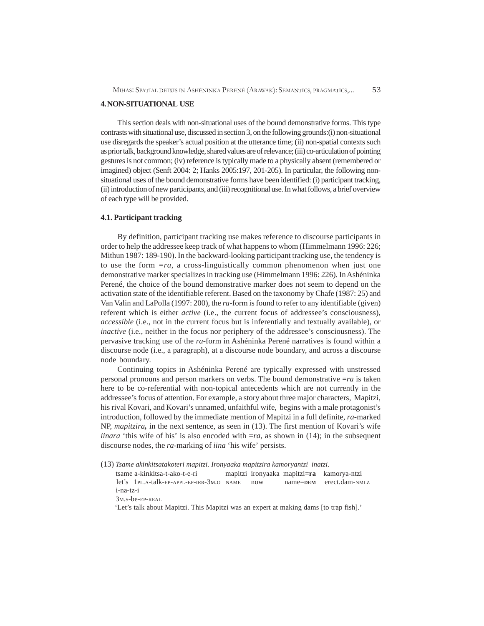# **4. NON-SITUATIONAL USE**

This section deals with non-situational uses of the bound demonstrative forms. This type contrasts with situational use, discussed in section 3, on the following grounds:(i) non-situational use disregards the speaker's actual position at the utterance time; (ii) non-spatial contexts such as prior talk, background knowledge, shared values are of relevance; (iii) co-articulation of pointing gestures is not common; (iv) reference is typically made to a physically absent (remembered or imagined) object (Senft 2004: 2; Hanks 2005:197, 201-205). In particular, the following nonsituational uses of the bound demonstrative forms have been identified: (i) participant tracking, (ii) introduction of new participants, and (iii) recognitional use. In what follows, a brief overview of each type will be provided.

# **4.1. Participant tracking**

By definition, participant tracking use makes reference to discourse participants in order to help the addressee keep track of what happens to whom (Himmelmann 1996: 226; Mithun 1987: 189-190). In the backward-looking participant tracking use, the tendency is to use the form *=ra*, a cross-linguistically common phenomenon when just one demonstrative marker specializes in tracking use (Himmelmann 1996: 226). In Ashéninka Perené, the choice of the bound demonstrative marker does not seem to depend on the activation state of the identifiable referent. Based on the taxonomy by Chafe (1987: 25) and Van Valin and LaPolla (1997: 200), the *ra*-form is found to refer to any identifiable (given) referent which is either *active* (i.e., the current focus of addressee's consciousness), *accessible* (i.e., not in the current focus but is inferentially and textually available), or *inactive* (i.e., neither in the focus nor periphery of the addressee's consciousness). The pervasive tracking use of the *ra*-form in Ashéninka Perené narratives is found within a discourse node (i.e., a paragraph), at a discourse node boundary, and across a discourse node boundary.

Continuing topics in Ashéninka Perené are typically expressed with unstressed personal pronouns and person markers on verbs. The bound demonstrative =*ra* is taken here to be co-referential with non-topical antecedents which are not currently in the addressee's focus of attention. For example, a story about three major characters, Mapitzi, his rival Kovari, and Kovari's unnamed, unfaithful wife, begins with a male protagonist's introduction, followed by the immediate mention of Mapitzi in a full definite, *ra*-marked NP, *mapitzira,* in the next sentence, as seen in (13). The first mention of Kovari's wife *iinara* 'this wife of his' is also encoded with  $=ra$ , as shown in (14); in the subsequent discourse nodes, the *ra*-marking of *iina* 'his wife' persists.

- (13) *Tsame akinkitsatakoteri mapitzi. Ironyaaka mapitzira kamoryantzi inatzi.*
	- tsame a-kinkitsa-t-ako-t-e-ri mapitzi ironyaaka mapitzi=**ra** kamorya-ntzi let's 1PL.A-talk-EP-APPL-EP-IRR-3M.<sup>O</sup> NAME now name=**DEM** erect.dam-NMLZ i-na-tz-i

3M.S-be-EP-REAL

'Let's talk about Mapitzi. This Mapitzi was an expert at making dams [to trap fish].'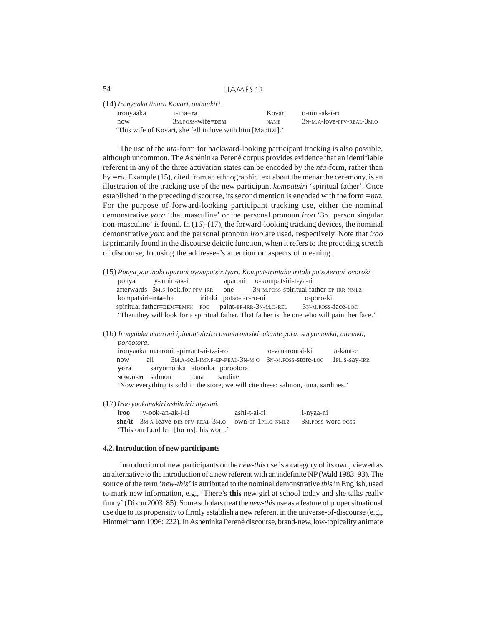|           | (14) Ironyaaka iinara Kovari, onintakiri.                   |             |                             |
|-----------|-------------------------------------------------------------|-------------|-----------------------------|
| ironyaaka | $i$ -ina $=ra$                                              | Kovari      | o-nint-ak-i-ri              |
| now       | $3M.POSS - wife = pem$                                      | <b>NAME</b> | $3N-M.A-love-PFV-REAL-3M.O$ |
|           | 'This wife of Kovari, she fell in love with him [Mapitzi].' |             |                             |

The use of the *nta*-form for backward-looking participant tracking is also possible, although uncommon. The Ashéninka Perené corpus provides evidence that an identifiable referent in any of the three activation states can be encoded by the *nta*-form, rather than by *=ra*. Example (15), cited from an ethnographic text about the menarche ceremony, is an illustration of the tracking use of the new participant *kompatsiri* 'spiritual father'. Once established in the preceding discourse, its second mention is encoded with the form *=nta*. For the purpose of forward-looking participant tracking use, either the nominal demonstrative *yora* 'that.masculine' or the personal pronoun *iroo* '3rd person singular non-masculine' is found. In (16)-(17), the forward-looking tracking devices, the nominal demonstrative *yora* and the personal pronoun *iroo* are used, respectively. Note that *iroo* is primarily found in the discourse deictic function, when it refers to the preceding stretch of discourse, focusing the addressee's attention on aspects of meaning.

- (15) *Ponya yaminaki aparoni oyompatsirityari. Kompatsirintaha iritaki potsoteroni ovoroki.* ponya y-amin-ak-i aparoni o-kompatsiri-t-ya-ri afterwards 3M.S-look.for-PFV-IRR one 3N-M.POSS-spiritual.father-EP-IRR-NMLZ kompatsiri=**nta**=ha iritaki potso-t-e-ro-ni o-poro-ki spiritual.father=**DEM**=EMPH FOC paint-EP-IRR-3N-M.O-REL 3N-M.POSS-face-LOC 'Then they will look for a spiritual father. That father is the one who will paint her face.'
- (16) *Ironyaaka maaroni ipimantaitziro ovanarontsiki, akante yora: saryomonka, atoonka, porootora.* ironyaaka maaroni i-pimant-ai-tz-i-ro o-vanarontsi-ki a-kant-e

 now all 3M.A-sell-IMP.P-EP-REAL-3N-M.O 3N-M.POSS-store-LOC 1PL.S-say-IRR **yora** saryomonka atoonka porootora **NOM.DEM** salmon tuna sardine 'Now everything is sold in the store, we will cite these: salmon, tuna, sardines.'

(17) *Iroo yookanakiri ashitairi: inyaani.*

| <b>iroo</b> y-ook-an-ak-i-ri             | ashi-t-ai-ri | 1-nyaa-ni                       |
|------------------------------------------|--------------|---------------------------------|
|                                          |              | 3 <sub>M</sub> . POSS-WOrd-POSS |
| 'This our Lord left [for us]: his word.' |              |                                 |

## **4.2. Introduction of new participants**

Introduction of new participants or the *new-this* use is a category of its own, viewed as an alternative to the introduction of a new referent with an indefinite NP (Wald 1983: 93). The source of the term '*new-this'* is attributed to the nominal demonstrative *this* in English, used to mark new information, e.g., 'There's **this** new girl at school today and she talks really funny' (Dixon 2003: 85). Some scholars treat the *new-this* use as a feature of proper situational use due to its propensity to firmly establish a new referent in the universe-of-discourse (e.g., Himmelmann 1996: 222). In Ashéninka Perené discourse, brand-new, low-topicality animate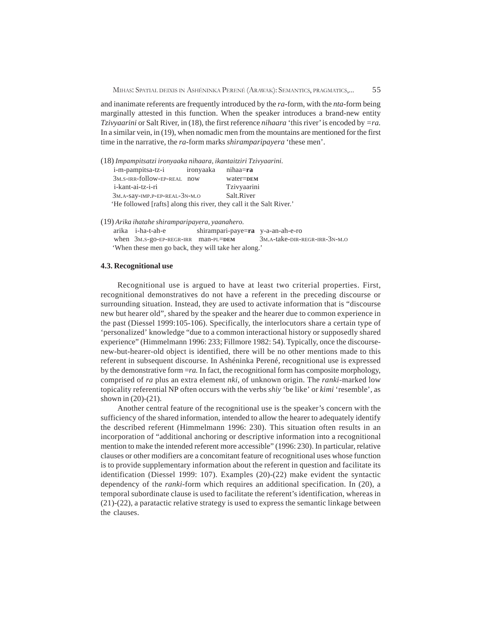and inanimate referents are frequently introduced by the *ra*-form, with the *nta*-form being marginally attested in this function. When the speaker introduces a brand-new entity *Tzivyaarini* or Salt River, in (18), the first reference *nihaara* 'this river' is encoded by *=ra.* In a similar vein, in (19), when nomadic men from the mountains are mentioned for the first time in the narrative, the *ra*-form marks *shiramparipayera* 'these men'.

| (18) Impampitsatzi ironyaaka nihaara, ikantaitziri Tzivyaarini.      |           |             |
|----------------------------------------------------------------------|-----------|-------------|
| i-m-pampitsa-tz-i                                                    | ironyaaka | nihaa=ra    |
| 3M.S-IRR-follow-EP-REAL now                                          |           | water=DEM   |
| i-kant-ai-tz-i-ri                                                    |           | Tzivyaarini |
| 3M.A-Say-IMP.P-EP-REAL-3N-M.O                                        |           | Salt.River  |
| 'He followed [rafts] along this river, they call it the Salt River.' |           |             |

(19) *Arika ihatahe shiramparipayera, yaanahero.*

 arika i-ha-t-ah-e shirampari-paye=**ra** y-a-an-ah-e-ro when 3M.S-go-EP-REGR-IRR man-PL=**DEM** 3M.A-take-DIR-REGR-IRR-3N-M.O 'When these men go back, they will take her along.'

#### **4.3. Recognitional use**

Recognitional use is argued to have at least two criterial properties. First, recognitional demonstratives do not have a referent in the preceding discourse or surrounding situation. Instead, they are used to activate information that is "discourse new but hearer old", shared by the speaker and the hearer due to common experience in the past (Diessel 1999:105-106). Specifically, the interlocutors share a certain type of 'personalized' knowledge "due to a common interactional history or supposedly shared experience" (Himmelmann 1996: 233; Fillmore 1982: 54). Typically, once the discoursenew-but-hearer-old object is identified, there will be no other mentions made to this referent in subsequent discourse. In Ashéninka Perené, recognitional use is expressed by the demonstrative form =*ra.* In fact, the recognitional form has composite morphology, comprised of *ra* plus an extra element *nki*, of unknown origin. The *ranki*-marked low topicality referential NP often occurs with the verbs *shiy* 'be like' or *kimi* 'resemble', as shown in (20)-(21).

Another central feature of the recognitional use is the speaker's concern with the sufficiency of the shared information, intended to allow the hearer to adequately identify the described referent (Himmelmann 1996: 230). This situation often results in an incorporation of "additional anchoring or descriptive information into a recognitional mention to make the intended referent more accessible" (1996: 230). In particular, relative clauses or other modifiers are a concomitant feature of recognitional uses whose function is to provide supplementary information about the referent in question and facilitate its identification (Diessel 1999: 107). Examples (20)-(22) make evident the syntactic dependency of the *ranki-*form which requires an additional specification. In (20), a temporal subordinate clause is used to facilitate the referent's identification, whereas in (21)-(22), a paratactic relative strategy is used to express the semantic linkage between the clauses.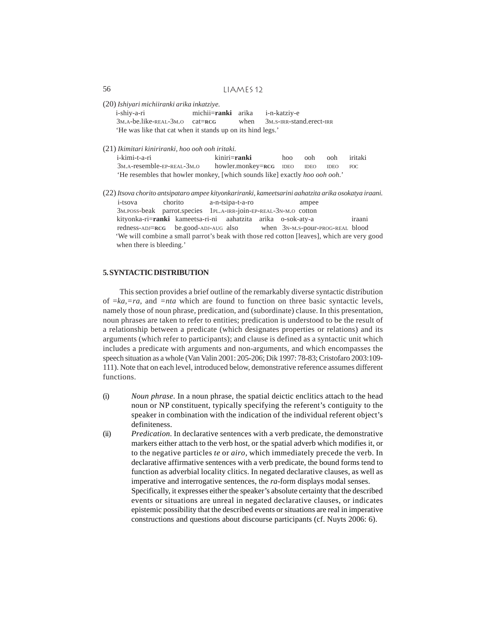- (20) *Ishiyari michiiranki arika inkatziye.* i-shiy-a-ri michii=**ranki** arika i-n-katziy-e 3M.A-be.like-REAL-3M.O cat=**RCG** when 3M.S-IRR-stand.erect-IRR 'He was like that cat when it stands up on its hind legs.'
- (21) *Ikimitari kiniriranki, hoo ooh ooh iritaki.*

| i-kimi-t-a-ri                                                                       | kiniri= <b>ranki</b>        | hoo | ooh | ooh         | iritaki |
|-------------------------------------------------------------------------------------|-----------------------------|-----|-----|-------------|---------|
| 3 <sub>M</sub> .A-resemble-EP-REAL-3 <sub>M</sub> .O                                | howler.monkey=RCG IDEO IDEO |     |     | <b>IDEO</b> | FOC.    |
| 'He resembles that howler monkey, [which sounds like] exactly <i>hoo ooh ooh.</i> ' |                             |     |     |             |         |

(22) *Itsova chorito antsipataro ampee kityonkariranki, kameetsarini aahatzita arika osokatya iraani.* i-tsova chorito a-n-tsipa-t-a-ro ampee 3M.POSS-beak parrot.species 1PL.A-IRR-join-EP-REAL-3N-M.O cotton kityonka-ri=**ranki** kameetsa-ri-ni aahatzita arika o-sok-aty-a iraani redness-ADJ=**RCG** be.good-ADJ-AUG also when 3N-M.S-pour-PROG-REAL blood 'We will combine a small parrot's beak with those red cotton [leaves], which are very good when there is bleeding.'

## **5. SYNTACTIC DISTRIBUTION**

This section provides a brief outline of the remarkably diverse syntactic distribution of =*ka,=ra*, and *=nta* which are found to function on three basic syntactic levels, namely those of noun phrase, predication, and (subordinate) clause. In this presentation, noun phrases are taken to refer to entities; predication is understood to be the result of a relationship between a predicate (which designates properties or relations) and its arguments (which refer to participants); and clause is defined as a syntactic unit which includes a predicate with arguments and non-arguments, and which encompasses the speech situation as a whole (Van Valin 2001: 205-206; Dik 1997: 78-83; Cristofaro 2003:109- 111). Note that on each level, introduced below, demonstrative reference assumes different functions.

- (i) *Noun phrase*. In a noun phrase, the spatial deictic enclitics attach to the head noun or NP constituent, typically specifying the referent's contiguity to the speaker in combination with the indication of the individual referent object's definiteness.
- (ii) *Predication*. In declarative sentences with a verb predicate, the demonstrative markers either attach to the verb host, or the spatial adverb which modifies it, or to the negative particles *te* or *airo,* which immediately precede the verb. In declarative affirmative sentences with a verb predicate, the bound forms tend to function as adverbial locality clitics. In negated declarative clauses, as well as imperative and interrogative sentences, the *ra-*form displays modal senses. Specifically, it expresses either the speaker's absolute certainty that the described events or situations are unreal in negated declarative clauses, or indicates epistemic possibility that the described events or situations are real in imperative constructions and questions about discourse participants (cf. Nuyts 2006: 6).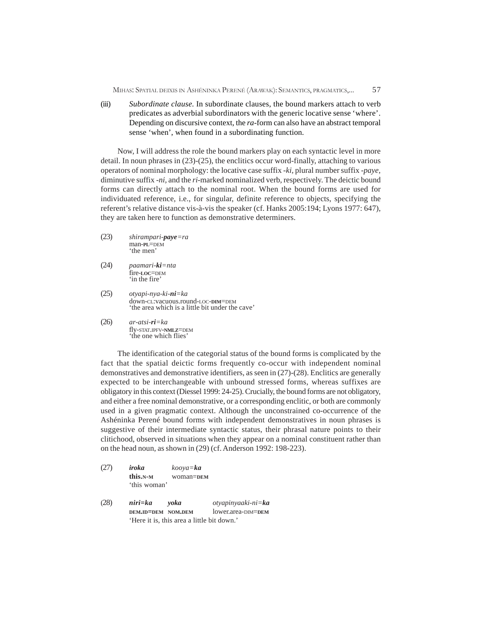(iii) *Subordinate clause.* In subordinate clauses, the bound markers attach to verb predicates as adverbial subordinators with the generic locative sense 'where'. Depending on discursive context, the *ra*-form can also have an abstract temporal sense 'when', when found in a subordinating function.

Now, I will address the role the bound markers play on each syntactic level in more detail. In noun phrases in (23)-(25), the enclitics occur word-finally, attaching to various operators of nominal morphology: the locative case suffix *-ki,* plural number suffix -*paye,* diminutive suffix *-ni,* and the *ri*-marked nominalized verb, respectively. The deictic bound forms can directly attach to the nominal root. When the bound forms are used for individuated reference, i.e., for singular, definite reference to objects, specifying the referent's relative distance vis-à-vis the speaker (cf. Hanks 2005:194; Lyons 1977: 647), they are taken here to function as demonstrative determiners.

- (23) *shirampari-paye=ra* man-**PL**=DEM 'the men'
- (24) *paamari-ki=nta* fire-**LOC**=DEM 'in the fire'
- (25) *otyapi-nya-ki-ni=ka* down-CL:vacuous.round-LOC-**DIM**=DEM 'the area which is a little bit under the cave'
- (26) *ar-atsi-ri=ka* fly-STAT.IPFV-**NMLZ**=DEM 'the one which flies'

The identification of the categorial status of the bound forms is complicated by the fact that the spatial deictic forms frequently co-occur with independent nominal demonstratives and demonstrative identifiers, as seen in (27)-(28). Enclitics are generally expected to be interchangeable with unbound stressed forms, whereas suffixes are obligatory in this context (Diessel 1999: 24-25). Crucially, the bound forms are not obligatory, and either a free nominal demonstrative, or a corresponding enclitic, or both are commonly used in a given pragmatic context. Although the unconstrained co-occurrence of the Ashéninka Perené bound forms with independent demonstratives in noun phrases is suggestive of their intermediate syntactic status, their phrasal nature points to their clitichood, observed in situations when they appear on a nominal constituent rather than on the head noun, as shown in (29) (cf. Anderson 1992: 198-223).

- (27) *iroka kooya=ka* **this.N-<sup>M</sup>** woman=**DEM** 'this woman'
- (28) *niri=ka yoka otyapinyaaki-ni=ka* **DEM.ID=DEM NOM.DEM** lower.area-DIM=**DEM** 'Here it is, this area a little bit down.'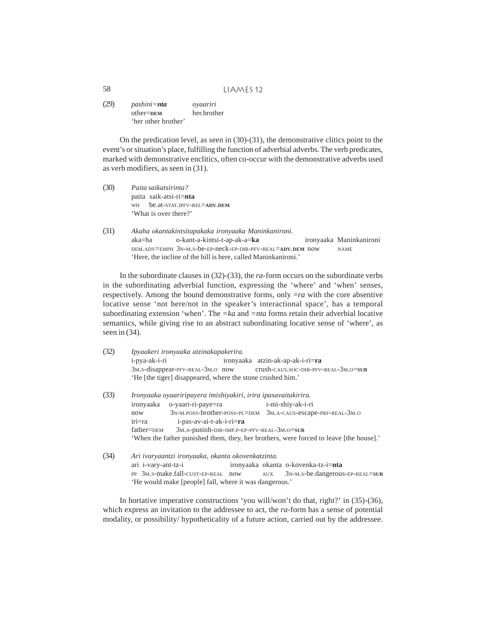(29) *pashini=nta oyaariri* other=**DEM** her.brother 'her other brother'

On the predication level, as seen in (30)-(31), the demonstrative clitics point to the event's or situation's place, fulfilling the function of adverbial adverbs. The verb predicates, marked with demonstrative enclitics, often co-occur with the demonstrative adverbs used as verb modifiers, as seen in (31).

- (30) *Paita saikatsirinta?* paita saik-atsi-ri=**nta** WH be.at-STAT.IPFV-REL=**ADV**.**DEM** 'What is over there?'
- (31) *Akaha okantakintsitapakaka ironyaaka Maninkanironi.* aka=ha o-kant-a-kintsi-t-ap-ak-a=**ka** ironyaaka Maninkanironi DEM.ADV=EMPH 3N-M.S-be-EP-neck-EP-DIR-PFV-REAL=**ADV**.**DEM** now NAME 'Here, the incline of the hill is here, called Maninkanironi.'

In the subordinate clauses in (32)-(33), the *ra*-form occurs on the subordinate verbs in the subordinating adverbial function, expressing the 'where' and 'when' senses, respectively. Among the bound demonstrative forms, only =*ra* with the core absentive locative sense 'not here/not in the speaker's interactional space', has a temporal subordinating extension 'when'. The *=ka* and *=nta* forms retain their adverbial locative semantics, while giving rise to an abstract subordinating locative sense of 'where', as seen in (34).

| (32) | Ipyaakeri ironyaaka atzinakapakerira.                                                                  |  |  |  |  |
|------|--------------------------------------------------------------------------------------------------------|--|--|--|--|
|      | i-pya-ak-i-ri<br>ironyaaka atzin-ak-ap-ak-i-ri=ra                                                      |  |  |  |  |
|      | 3M.s-disappear-PFV-REAL-3M.O now crush-CAUS.SOC-DIR-PFV-REAL-3M.O=SUB                                  |  |  |  |  |
|      | 'He [the tiger] disappeared, where the stone crushed him.'                                             |  |  |  |  |
| (33) | Ironyaaka oyaariripayera imishiyakiri, irira ipasavaitakirira.                                         |  |  |  |  |
|      | o-yaari-ri-paye=ra<br>i-mi-shiy-ak-i-ri<br>ironyaaka                                                   |  |  |  |  |
|      | $3N-M.Poss-brother-Poss-PL=DEM$<br>3M.A-CAUS-escape-PRF-REAL-3M.O<br>now                               |  |  |  |  |
|      | iri=ra<br>i-pas-av-ai-t-ak-i-ri=ra                                                                     |  |  |  |  |
|      | 3M.A-punish-DIR-IMP.P-EP-PFV-REAL-3M.O=SUB<br>father=DEM                                               |  |  |  |  |
|      | 'When the father punished them, they, her brothers, were forced to leave [the house].'                 |  |  |  |  |
| (34) | Ari ivaryaantzi ironyaaka, okanta okovenkatzinta.                                                      |  |  |  |  |
|      | ironyaaka okanta o-kovenka-tz-i=nta<br>ari i-vary-ant-tz-i                                             |  |  |  |  |
|      | PP 3M.S-make.fall-CUST-EP-REAL now<br>3 <sub>N</sub> -M <sub>.S</sub> -be.dangerous-EP-REAL=SUB<br>AUX |  |  |  |  |
|      | 'He would make [people] fall, where it was dangerous.'                                                 |  |  |  |  |

In hortative imperative constructions 'you will/won't do that, right?' in (35)-(36), which express an invitation to the addressee to act, the *ra-*form has a sense of potential modality, or possibility/ hypotheticality of a future action, carried out by the addressee.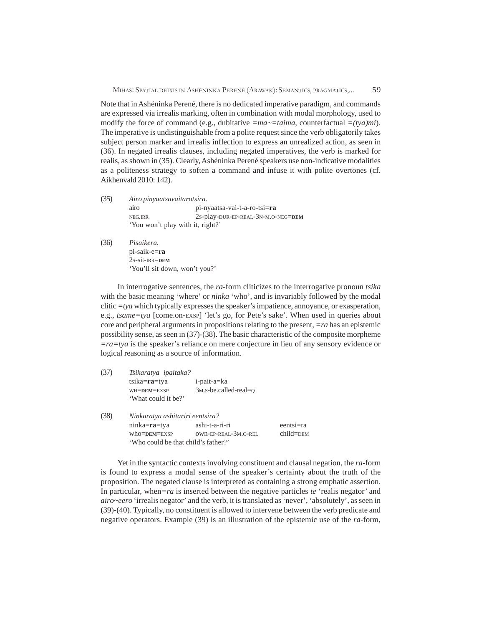Note that in Ashéninka Perené, there is no dedicated imperative paradigm, and commands are expressed via irrealis marking, often in combination with modal morphology, used to modify the force of command (e.g., dubitative *=ma~=taima*, counterfactual *=(tya)mi*). The imperative is undistinguishable from a polite request since the verb obligatorily takes subject person marker and irrealis inflection to express an unrealized action, as seen in (36). In negated irrealis clauses, including negated imperatives, the verb is marked for realis, as shown in (35). Clearly, Ashéninka Perené speakers use non-indicative modalities as a politeness strategy to soften a command and infuse it with polite overtones (cf. Aikhenvald 2010: 142).

- (35) *Airo pinyaatsavaitarotsira.* airo pi-nyaatsa-vai-t-a-ro-tsi=**ra** NEG.IRR 2S-play-DUR-EP-REAL-3N-M.O-NEG=**DEM** 'You won't play with it, right?'
- (36) *Pisaikera.* pi-saik-e=**ra** 2S-sit-IRR=**DEM** 'You'll sit down, won't you?'

In interrogative sentences, the *ra*-form cliticizes to the interrogative pronoun *tsika* with the basic meaning 'where' or *ninka* 'who', and is invariably followed by the modal clitic  $=tva$  which typically expresses the speaker's impatience, annoyance, or exasperation, e.g., *tsame=tya* [come.on-EXSP] 'let's go, for Pete's sake'. When used in queries about core and peripheral arguments in propositions relating to the present, *=ra* has an epistemic possibility sense, as seen in (37)-(38). The basic characteristic of the composite morpheme *=ra=tya* is the speaker's reliance on mere conjecture in lieu of any sensory evidence or logical reasoning as a source of information.

|      | Tsikaratya ipaitaka?                |                       |             |  |  |
|------|-------------------------------------|-----------------------|-------------|--|--|
|      | $tsika = ra = tya$                  | i-pait-a=ka           |             |  |  |
|      | WH=DEM=EXSP                         | 3м.s-be.called-real=o |             |  |  |
|      | 'What could it be?'                 |                       |             |  |  |
| (38) | Ninkaratya ashitariri eentsira?     |                       |             |  |  |
|      | ninka=ra=tya                        | ashi-t-a-ri-ri        | eentsi=ra   |  |  |
|      | $who=DEM=EXSP$                      | OWN-EP-REAL-3M.O-REL  | $child=DEM$ |  |  |
|      | 'Who could be that child's father?' |                       |             |  |  |

Yet in the syntactic contexts involving constituent and clausal negation, the *ra*-form is found to express a modal sense of the speaker's certainty about the truth of the proposition. The negated clause is interpreted as containing a strong emphatic assertion. In particular, when*=ra* is inserted between the negative particles *te* 'realis negator' and *airo~eero* 'irrealis negator' and the verb, it is translated as 'never', 'absolutely', as seen in (39)-(40). Typically, no constituent is allowed to intervene between the verb predicate and negative operators. Example (39) is an illustration of the epistemic use of the *ra*-form,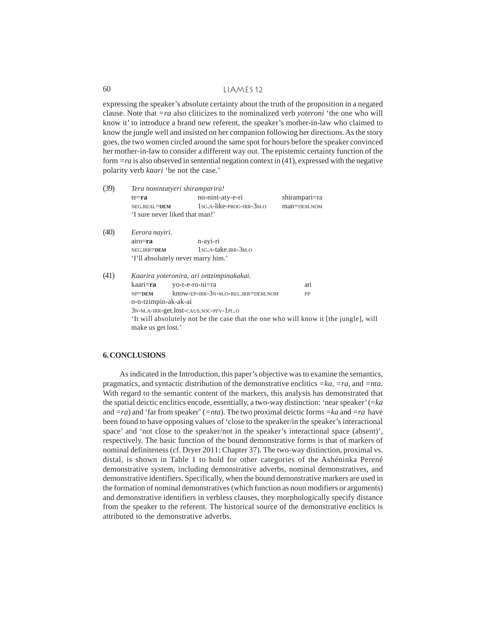expressing the speaker's absolute certainty about the truth of the proposition in a negated clause. Note that *=ra* also cliticizes to the nominalized verb *yoteroni* 'the one who will know it' to introduce a brand new referent, the speaker's mother-in-law who claimed to know the jungle well and insisted on her companion following her directions. As the story goes, the two women circled around the same spot for hours before the speaker convinced her mother-in-law to consider a different way out. The epistemic certainty function of the form *=ra* is also observed in sentential negation context in (41), expressed with the negative polarity verb *kaari* 'be not the case.'

| (39) | Tera nonintatyeri shiramparira!                                                                           |                                                                |               |  |  |  |
|------|-----------------------------------------------------------------------------------------------------------|----------------------------------------------------------------|---------------|--|--|--|
|      | $te = ra$                                                                                                 | no-nint-aty-e-ri                                               | shirampari=ra |  |  |  |
|      | NEG.REAL=DEM                                                                                              | $1$ <sub>SG</sub> , $A$ -like-prog-trp- $3$ <sub>M</sub> , $O$ | man=DEM.NOM   |  |  |  |
|      | 'I sure never liked that man!'                                                                            |                                                                |               |  |  |  |
| (40) | Eerora nayiri.                                                                                            |                                                                |               |  |  |  |
|      | $airo = ra$                                                                                               | n-ayi-ri                                                       |               |  |  |  |
|      | NEG.IRR=DEM                                                                                               | $1$ <sub>SG</sub> , $A$ -take, $IRR - 3$ <sub>M</sub> , $O$    |               |  |  |  |
|      | 'I'll absolutely never marry him.'                                                                        |                                                                |               |  |  |  |
| (41) | Kaarira yoteronira, ari ontzimpinakakai.                                                                  |                                                                |               |  |  |  |
|      | kaari= <b>ra</b>                                                                                          | vo-t-e-ro-ni=ra                                                | arı           |  |  |  |
|      | $NP = DEM$                                                                                                | know-EP-IRR-3N-M.O-REL.IRR=DEM.NOM                             | PP            |  |  |  |
|      | o-n-tzimpin-ak-ak-ai                                                                                      |                                                                |               |  |  |  |
|      | 3N-M.A-IRR-get.lost-CAUS.SOC-PFV-1PL.O                                                                    |                                                                |               |  |  |  |
|      | It will absolutely not be the case that the one who will know it [the jungle], will<br>make us get lost.' |                                                                |               |  |  |  |

# **6. CONCLUSIONS**

As indicated in the Introduction, this paper's objective was to examine the semantics, pragmatics, and syntactic distribution of the demonstrative enclitics *=ka, =ra*, and *=nta*. With regard to the semantic content of the markers, this analysis has demonstrated that the spatial deictic enclitics encode, essentially, a two-way distinction: 'near speaker' (=*ka* and *=ra*) and 'far from speaker' (*=nta*). The two proximal deictic forms *=ka* and *=ra* have been found to have opposing values of 'close to the speaker/in the speaker's interactional space' and 'not close to the speaker/not in the speaker's interactional space (absent)', respectively. The basic function of the bound demonstrative forms is that of markers of nominal definiteness (cf. Dryer 2011: Chapter 37). The two-way distinction, proximal vs. distal, is shown in Table 1 to hold for other categories of the Ashéninka Perené demonstrative system, including demonstrative adverbs, nominal demonstratives, and demonstrative identifiers. Specifically, when the bound demonstrative markers are used in the formation of nominal demonstratives (which function as noun modifiers or arguments) and demonstrative identifiers in verbless clauses, they morphologically specify distance from the speaker to the referent. The historical source of the demonstrative enclitics is attributed to the demonstrative adverbs.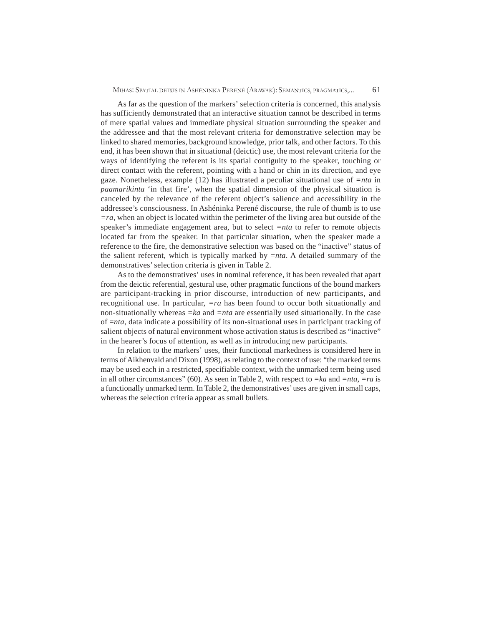As far as the question of the markers' selection criteria is concerned, this analysis has sufficiently demonstrated that an interactive situation cannot be described in terms of mere spatial values and immediate physical situation surrounding the speaker and the addressee and that the most relevant criteria for demonstrative selection may be linked to shared memories, background knowledge, prior talk, and other factors. To this end, it has been shown that in situational (deictic) use, the most relevant criteria for the ways of identifying the referent is its spatial contiguity to the speaker, touching or direct contact with the referent, pointing with a hand or chin in its direction, and eye gaze. Nonetheless, example (12) has illustrated a peculiar situational use of *=nta* in *paamarikinta* 'in that fire', when the spatial dimension of the physical situation is canceled by the relevance of the referent object's salience and accessibility in the addressee's consciousness. In Ashéninka Perené discourse, the rule of thumb is to use *=ra*, when an object is located within the perimeter of the living area but outside of the speaker's immediate engagement area, but to select *=nta* to refer to remote objects located far from the speaker. In that particular situation, when the speaker made a reference to the fire, the demonstrative selection was based on the "inactive" status of the salient referent, which is typically marked by =*nta*. A detailed summary of the demonstratives' selection criteria is given in Table 2.

As to the demonstratives' uses in nominal reference, it has been revealed that apart from the deictic referential, gestural use, other pragmatic functions of the bound markers are participant-tracking in prior discourse, introduction of new participants, and recognitional use. In particular, *=ra* has been found to occur both situationally and non-situationally whereas *=ka* and *=nta* are essentially used situationally. In the case of =*nta*, data indicate a possibility of its non-situational uses in participant tracking of salient objects of natural environment whose activation status is described as "inactive" in the hearer's focus of attention, as well as in introducing new participants.

In relation to the markers' uses, their functional markedness is considered here in terms of Aikhenvald and Dixon (1998), as relating to the context of use: "the marked terms may be used each in a restricted, specifiable context, with the unmarked term being used in all other circumstances" (60). As seen in Table 2, with respect to *=ka* and *=nta*, *=ra* is a functionally unmarked term. In Table 2, the demonstratives' uses are given in small caps, whereas the selection criteria appear as small bullets.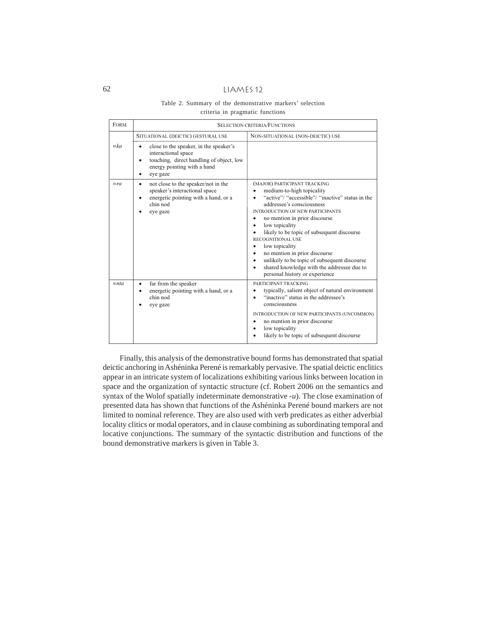# Table 2. Summary of the demonstrative markers' selection criteria in pragmatic functions

| <b>FORM</b> | <b>SELECTION CRITERIA/FUNCTIONS</b>                                                                                                                                                         |                                                                                                                                                                                                                                                                                                                                                                                                                                                                                                                                                                                     |  |  |  |
|-------------|---------------------------------------------------------------------------------------------------------------------------------------------------------------------------------------------|-------------------------------------------------------------------------------------------------------------------------------------------------------------------------------------------------------------------------------------------------------------------------------------------------------------------------------------------------------------------------------------------------------------------------------------------------------------------------------------------------------------------------------------------------------------------------------------|--|--|--|
|             | SITUATIONAL (DEICTIC) GESTURAL USE                                                                                                                                                          | NON-SITUATIONAL (NON-DEICTIC) USE                                                                                                                                                                                                                                                                                                                                                                                                                                                                                                                                                   |  |  |  |
| $=k a$      | close to the speaker, in the speaker's<br>$\bullet$<br>interactional space<br>touching, direct handling of object, low<br>$\bullet$<br>energy pointing with a hand<br>eye gaze<br>$\bullet$ |                                                                                                                                                                                                                                                                                                                                                                                                                                                                                                                                                                                     |  |  |  |
| $=ra$       | not close to the speaker/not in the<br>٠<br>speaker's interactional space<br>energetic pointing with a hand, or a<br>$\bullet$<br>chin nod<br>eye gaze                                      | (MAJOR) PARTICIPANT TRACKING<br>medium-to-high topicality<br>"active"/ "accessible"/ "inactive" status in the<br>addressee's consciousness<br><b>INTRODUCTION OF NEW PARTICIPANTS</b><br>no mention in prior discourse<br>$\bullet$<br>low topicality<br>$\bullet$<br>likely to be topic of subsequent discourse<br><b>RECOGNITIONAL USE</b><br>low topicality<br>$\bullet$<br>no mention in prior discourse<br>$\bullet$<br>unlikely to be topic of subsequent discourse<br>$\bullet$<br>shared knowledge with the addressee due to<br>$\bullet$<br>personal history or experience |  |  |  |
| $=$ nta     | far from the speaker<br>٠<br>energetic pointing with a hand, or a<br>chin nod<br>eye gaze                                                                                                   | PARTICIPANT TRACKING<br>typically, salient object of natural environment<br>٠<br>"inactive" status in the addressee's<br>$\bullet$<br>consciousness<br>INTRODUCTION OF NEW PARTICIPANTS (UNCOMMON)<br>no mention in prior discourse<br>$\bullet$<br>low topicality<br>$\bullet$<br>likely to be topic of subsequent discourse                                                                                                                                                                                                                                                       |  |  |  |

Finally, this analysis of the demonstrative bound forms has demonstrated that spatial deictic anchoring in Ashéninka Perené is remarkably pervasive. The spatial deictic enclitics appear in an intricate system of localizations exhibiting various links between location in space and the organization of syntactic structure (cf. Robert 2006 on the semantics and syntax of the Wolof spatially indeterminate demonstrative -*u*). The close examination of presented data has shown that functions of the Ashéninka Perené bound markers are not limited to nominal reference. They are also used with verb predicates as either adverbial locality clitics or modal operators, and in clause combining as subordinating temporal and locative conjunctions. The summary of the syntactic distribution and functions of the bound demonstrative markers is given in Table 3.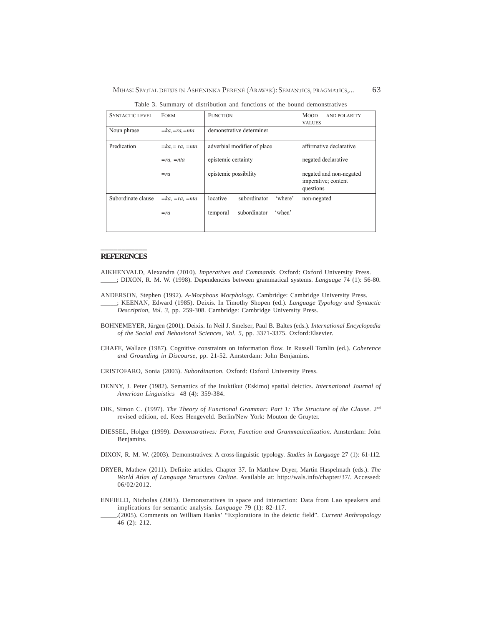| <b>SYNTACTIC LEVEL</b> | <b>FORM</b>            | <b>FUNCTION</b>                     | <b>MOOD</b><br><b>AND POLARITY</b><br><b>VALUES</b>         |
|------------------------|------------------------|-------------------------------------|-------------------------------------------------------------|
| Noun phrase            | $=ka, = ra, = nta$     | demonstrative determiner            |                                                             |
| Predication            | $=ka = ra$ , $= nta$   | adverbial modifier of place         | affirmative declarative                                     |
|                        | $= ra$ , $= nta$       | epistemic certainty                 | negated declarative                                         |
|                        | $=ra$                  | epistemic possibility               | negated and non-negated<br>imperative; content<br>questions |
| Subordinate clause     | $=ka$ , $=ra$ , $=nta$ | subordinator<br>locative<br>'where' | non-negated                                                 |
|                        | $=ra$                  | subordinator<br>'when'<br>temporal  |                                                             |

Table 3. Summary of distribution and functions of the bound demonstratives

#### \_\_\_\_\_\_\_\_\_\_\_ **REFERENCES**

- AIKHENVALD, Alexandra (2010). *Imperatives and Commands*. Oxford: Oxford University Press. \_\_\_\_\_; DIXON, R. M. W. (1998). Dependencies between grammatical systems. *Language* 74 (1): 56-80.
- ANDERSON, Stephen (1992). *A-Morphous Morphology*. Cambridge: Cambridge University Press.
- \_\_\_\_\_; KEENAN, Edward (1985). Deixis. In Timothy Shopen (ed.). *Language Typology and Syntactic Description*, *Vol. 3*, pp. 259-308. Cambridge: Cambridge University Press.
- BOHNEMEYER, Jürgen (2001). Deixis. In Neil J. Smelser, Paul B. Baltes (eds.). *International Encyclopedia of the Social and Behavioral Sciences, Vol. 5*, pp. 3371-3375. Oxford:Elsevier.
- CHAFE, Wallace (1987). Cognitive constraints on information flow. In Russell Tomlin (ed.). *Coherence and Grounding in Discourse*, pp. 21-52. Amsterdam: John Benjamins.
- CRISTOFARO, Sonia (2003). *Subordination.* Oxford: Oxford University Press.
- DENNY, J. Peter (1982). Semantics of the Inuktikut (Eskimo) spatial deictics. *International Journal of American Linguistics* 48 (4): 359-384.
- DIK, Simon C. (1997). *The Theory of Functional Grammar: Part 1: The Structure of the Clause*. 2<sup>nd</sup> revised edition, ed. Kees Hengeveld. Berlin/New York: Mouton de Gruyter.
- DIESSEL, Holger (1999). *Demonstratives: Form, Function and Grammaticalization*. Amsterdam: John Benjamins.
- DIXON, R. M. W. (2003). Demonstratives: A cross-linguistic typology. *Studies in Language* 27 (1): 61-112.
- DRYER, Mathew (2011). Definite articles. Chapter 37. In Matthew Dryer, Martin Haspelmath (eds.). *The World Atlas of Language Structures Online*. Available at: http://wals.info/chapter/37/. Accessed: 06/02/2012.
- ENFIELD, Nicholas (2003). Demonstratives in space and interaction: Data from Lao speakers and implications for semantic analysis. *Language* 79 (1): 82-117.
	- \_\_\_\_\_.(2005). Comments on William Hanks' "Explorations in the deictic field". *Current Anthropology* 46 (2): 212.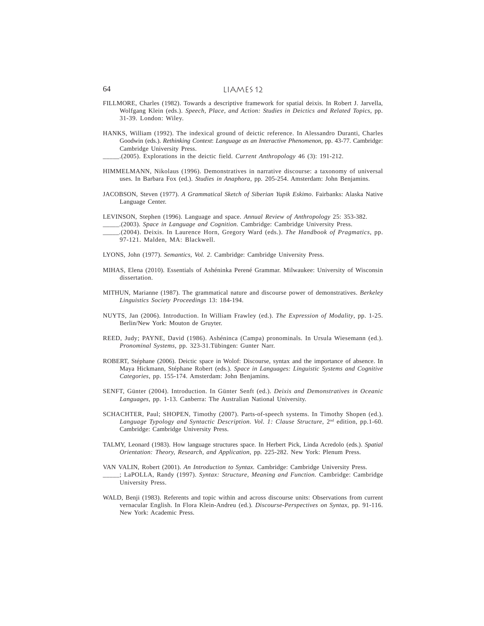- FILLMORE, Charles (1982). Towards a descriptive framework for spatial deixis. In Robert J. Jarvella, Wolfgang Klein (eds.). *Speech, Place, and Action: Studies in Deictics and Related Topics*, pp. 31-39. London: Wiley.
- HANKS, William (1992). The indexical ground of deictic reference. In Alessandro Duranti, Charles Goodwin (eds.). *Rethinking Context*: *Language as an Interactive Phenomenon*, pp. 43-77. Cambridge: Cambridge University Press.

- HIMMELMANN, Nikolaus (1996). Demonstratives in narrative discourse: a taxonomy of universal uses. In Barbara Fox (ed.). *Studies in Anaphora*, pp. 205-254. Amsterdam: John Benjamins.
- JACOBSON, Steven (1977). *A Grammatical Sketch of Siberian Yupik Eskimo*. Fairbanks: Alaska Native Language Center.

LEVINSON, Stephen (1996). Language and space. *Annual Review of Anthropology* 25: 353-382.

\_\_\_\_\_.(2003). *Space in Language and Cognition*. Cambridge: Cambridge University Press.

- \_\_\_\_\_.(2004). Deixis. In Laurence Horn, Gregory Ward (eds.). *The Handbook of Pragmatics*, pp. 97-121. Malden, MA: Blackwell.
- LYONS, John (1977). *Semantics, Vol. 2*. Cambridge: Cambridge University Press.
- MIHAS, Elena (2010). Essentials of Ashéninka Perené Grammar. Milwaukee: University of Wisconsin dissertation.
- MITHUN, Marianne (1987). The grammatical nature and discourse power of demonstratives. *Berkeley Linguistics Society Proceedings* 13: 184-194.
- NUYTS, Jan (2006). Introduction. In William Frawley (ed.). *The Expression of Modality*, pp. 1-25. Berlin/New York: Mouton de Gruyter.
- REED, Judy; PAYNE, David (1986). Ashéninca (Campa) pronominals. In Ursula Wiesemann (ed.). *Pronominal Systems,* pp. 323-31.Tübingen: Gunter Narr.
- ROBERT, Stéphane (2006). Deictic space in Wolof: Discourse, syntax and the importance of absence. In Maya Hickmann, Stéphane Robert (eds.). *Space in Languages: Linguistic Systems and Cognitive Categories*, pp. 155-174. Amsterdam: John Benjamins.
- SENFT, Günter (2004). Introduction. In Günter Senft (ed.). *Deixis and Demonstratives in Oceanic Languages*, pp. 1-13. Canberra: The Australian National University.
- SCHACHTER, Paul; SHOPEN, Timothy (2007). Parts-of-speech systems. In Timothy Shopen (ed.). *Language Typology and Syntactic Description. Vol. 1: Clause Structure*, 2nd edition, pp.1-60. Cambridge: Cambridge University Press.
- TALMY, Leonard (1983). How language structures space. In Herbert Pick, Linda Acredolo (eds.). *Spatial Orientation: Theory, Research, and Application,* pp*.* 225-282. New York: Plenum Press.
- VAN VALIN, Robert (2001). *An Introduction to Syntax.* Cambridge: Cambridge University Press.
- \_\_\_\_\_; LaPOLLA, Randy (1997). *Syntax: Structure, Meaning and Function.* Cambridge: Cambridge University Press.
- WALD, Benji (1983). Referents and topic within and across discourse units: Observations from current vernacular English. In Flora Klein-Andreu (ed*.*)*. Discourse-Perspectives on Syntax*, pp. 91-116. New York: Academic Press.

\_\_\_\_\_.(2005). Explorations in the deictic field. *Current Anthropology* 46 (3): 191-212.